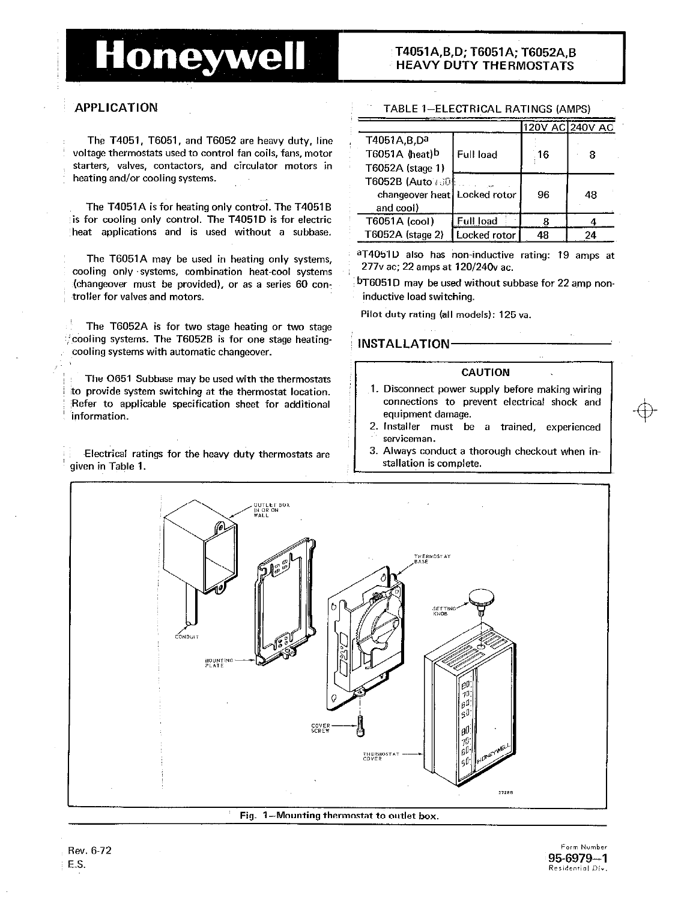# Honeywell

# T4051A, B, D; T6051A: T6052A. B **HEAVY DUTY THERMOSTATS**

The T4051, T6051, and T6052 are heavy duty. line voltage thermostats used to control fan coils, fans, motor starters, valves, contactors, and circulator motors in heating and/or cooling systems.

The T4051A is for heating only control. The T4051B  $\overline{\text{S}}$  is for cooling only control. The T4051D is for electric heat applications and is used without a subbase.

2777° ac; 22 amps at 120/240v ac.<br>Cooling only 'systems, combination heat-cool systems, contract 27 amps at 120/240v ac. compare for 22 amp non-(changeover must be provided), or as a series 60 controller for valves and motors. inductive load switching.

The T6052A is for two stage heating or two stage jcooling systems. The T6052B is for one stage heating- INSTALLATION cooling systems with automatic changeover.

The 0651 Subbase may be used with the thermostats to provide system switching at the thermostat location.<br>Befer to annicable specification sheet for additional connections to prevent electrical shock and Refer to applicable specification sheet for additional information.

 $\begin{array}{|l|l|}\n\hline\n\text{Electrical ratings for the heavy duty thermostats are given in } \begin{array}{c} 3. \text{ Always conduct a thorough checkpoint when in-} \\\text{stallation is complete.} \end{array} \end{array}$ 

# APPLICATION TABLE I-ELECTRICAL RATINGS (AMPS)

|                              |                  |    | 120V AC 240V AC |
|------------------------------|------------------|----|-----------------|
| T4051A,B,Da                  |                  |    |                 |
| T6051A (heat)b               | Full load        | 16 | 8               |
| T6052A (stage 1)             |                  |    |                 |
| T6052B (Auto 6504            |                  |    |                 |
| changeover heat Locked rotor |                  | 96 | 48              |
| and cool)                    |                  |    |                 |
| T6051A (cool)                | <b>Full load</b> | 8  |                 |
| T6052A (stage 2)             | Locked rotor     | 48 |                 |

The T6051A may be used in heating only systems, aT4051D also has non-inductive rating: 19 amps at at at the system of the continuation of the continuation of the continuation of the continuation of the continuation of the

Pilot duty rating (all models): 125 va.

# CAUTION

- equipment damage.
- 2. Installer must be a trained, experienced serviceman.
- 



Form Number  $\mathsf{E.S.}$  Residential Div.

кеу. 6-72<br>Г. С. 195-6979-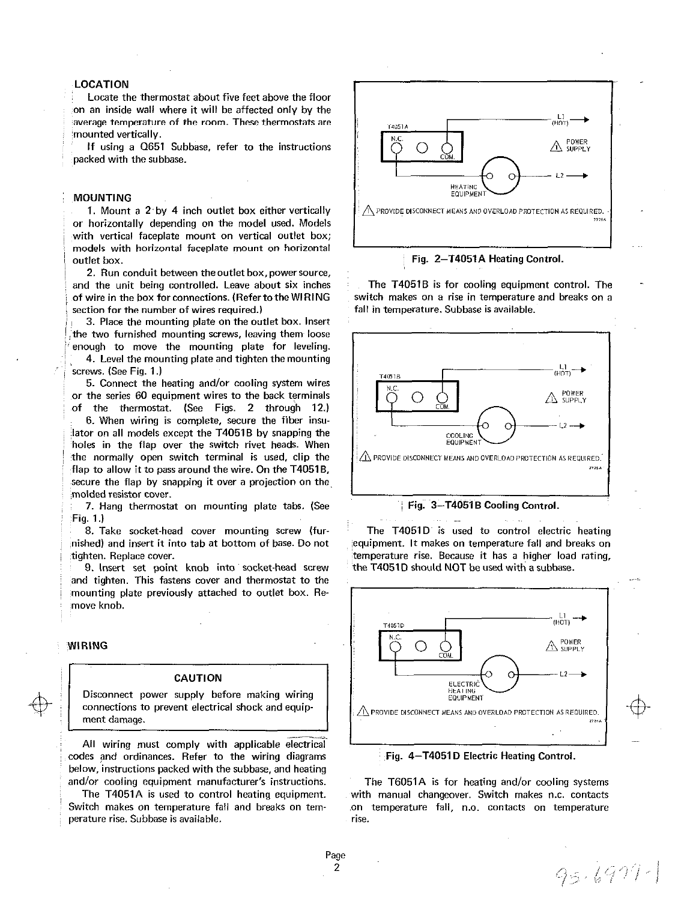# LOCATION

Locate the thermostat about five feet above the floor on an inside wall where it will be affected only by the average temperature of the room. These thermostats are :mounted vertically.

If using a Q651 Subbase, refer to the instructions packed with the subbase.

## MOUNTING

1. Mount a 2 by 4 inch outlet box either vertically or horizontally depending on the model used. Models with vertical faceplate mount on vertical outlet box; models with horizontal faceplate mount on horizontal outlet box. **Fig. 2-T4051A Heating Control.** Fig. 2-T4051A Heating Control.

2. Run conduit between the outlet box, powersource, and the unit being controlled. Leave about six inches The T4051B is for cooling equipment control. The of wire in the box forconnections. (Refertothe WIRING switch makes on a rise in temperature and breaks on a section for the number of wires required.) fall in temperature. Subbase is available.

3. Place the mounting plate on the outlet box. Insert the two furnished mounting screws, leaving them loose enough to move the mounting plate for leveling.

4. Level the mounting plate and tighten the mounting screws. (See Fig. 1.)

5. Connect the heating and/or cooling system wires or the series 60 equipment wires to the back terminals the thermostat. (See Figs. 2 through 12.)

6. When wiring is complete, secure the fiber insulator on all models except the T4051B by snapping the holes in the flap over the switch rivet heads. When the normally open switch terminal is used, clip the flap to allow it to pass around the wire. On the T4051B, secure the flap by snapping it over a projection on the molded resistor cover.

7. Hang thermostat on mounting plate tabs. (See Fig. 3-T4051B Cooling Control. Fig. 1.)

tighten. Replace cover. the cover temperature rise. Because it has a higher load rating,

9. Insert set point knob into socket-head screw the T4051D should NOT be used with a subbase. and tighten. This fastens cover and thermostat to the mounting plate previously attached to outlet box. Remove knob.

### WIRING

## CAUTION

Disconnect power supply before making wiring connections to prevent electrical shock and equipment damage.

All wiring must comply with applicable electrical codes and ordinances. Refer to the wiring diagrams Fig. 4-T4051D Electric Heating Control. below, instructions packed with the subbase, and heating

Switch makes on temperature fall and breaks on tem- on temperature fall, n.o. contacts on temperature perature rise. Subbase is available. The rise of the rise rise.





8. Take socket-head cover mounting screw (fur-<br>The T4051D is used to control electric heating nished) and insert it into tab at bottom of base. Do not equipment. It makes on temperature fall and breaks on



and/or cooling equipment manufacturer's instructions. The T6051A is for heating and/or cooling systems The T4051A is used to control heating equipment. with manual changeover. Switch makes n.c. contacts

 $95.6977$ -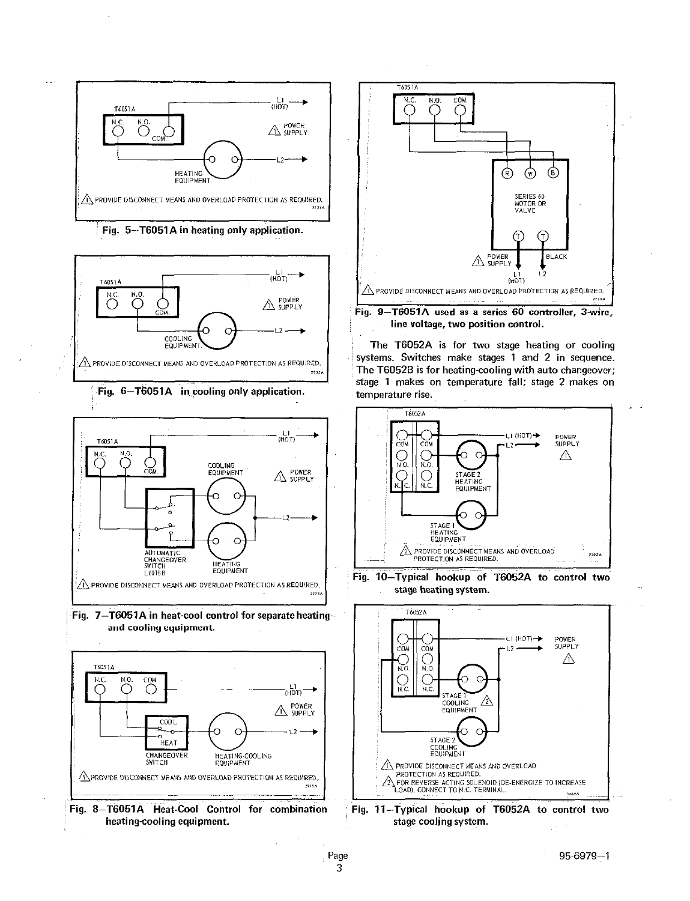

Fig. 5-T6051A in heating only application.



Fig. 6-T6051A in cooling only application. The emperature rise.



Fig. 7-T6051A in heat-cool control for separate heating and cooling equipment.







Fig. 9-T6051A used as a series 60 controller, 3-wire, line voltage, two position control.

The T6052A is for two stage heating or cooling systems. Switches make stages 1 and 2 in sequence. The T6052B is for heating-cooling with auto changeover; stage 1 makes on temperature fall; stage 2 makes on







Fig. 11-Typical hookup of T6052A to control two stage cooling system.